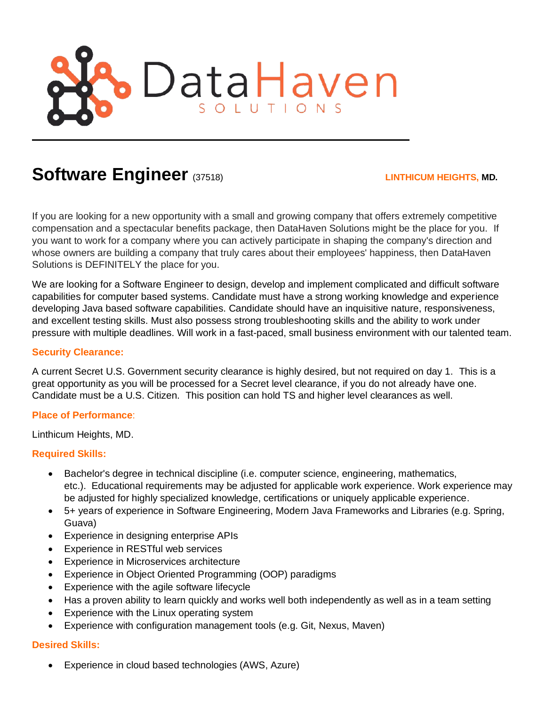

# **Software Engineer** (37518) **LINTHICUM HEIGHTS, MD.**

If you are looking for a new opportunity with a small and growing company that offers extremely competitive compensation and a spectacular benefits package, then DataHaven Solutions might be the place for you. If you want to work for a company where you can actively participate in shaping the company's direction and whose owners are building a company that truly cares about their employees' happiness, then DataHaven Solutions is DEFINITELY the place for you.

We are looking for a Software Engineer to design, develop and implement complicated and difficult software capabilities for computer based systems. Candidate must have a strong working knowledge and experience developing Java based software capabilities. Candidate should have an inquisitive nature, responsiveness, and excellent testing skills. Must also possess strong troubleshooting skills and the ability to work under pressure with multiple deadlines. Will work in a fast-paced, small business environment with our talented team.

#### **Security Clearance:**

A current Secret U.S. Government security clearance is highly desired, but not required on day 1. This is a great opportunity as you will be processed for a Secret level clearance, if you do not already have one. Candidate must be a U.S. Citizen. This position can hold TS and higher level clearances as well.

#### **Place of Performance**:

Linthicum Heights, MD.

#### **Required Skills:**

- Bachelor's degree in technical discipline (i.e. computer science, engineering, mathematics, etc.). Educational requirements may be adjusted for applicable work experience. Work experience may be adjusted for highly specialized knowledge, certifications or uniquely applicable experience.
- 5+ years of experience in Software Engineering, Modern Java Frameworks and Libraries (e.g. Spring, Guava)
- Experience in designing enterprise APIs
- Experience in RESTful web services
- Experience in Microservices architecture
- Experience in Object Oriented Programming (OOP) paradigms
- Experience with the agile software lifecycle
- Has a proven ability to learn quickly and works well both independently as well as in a team setting
- Experience with the Linux operating system
- Experience with configuration management tools (e.g. Git, Nexus, Maven)

### **Desired Skills:**

• Experience in cloud based technologies (AWS, Azure)